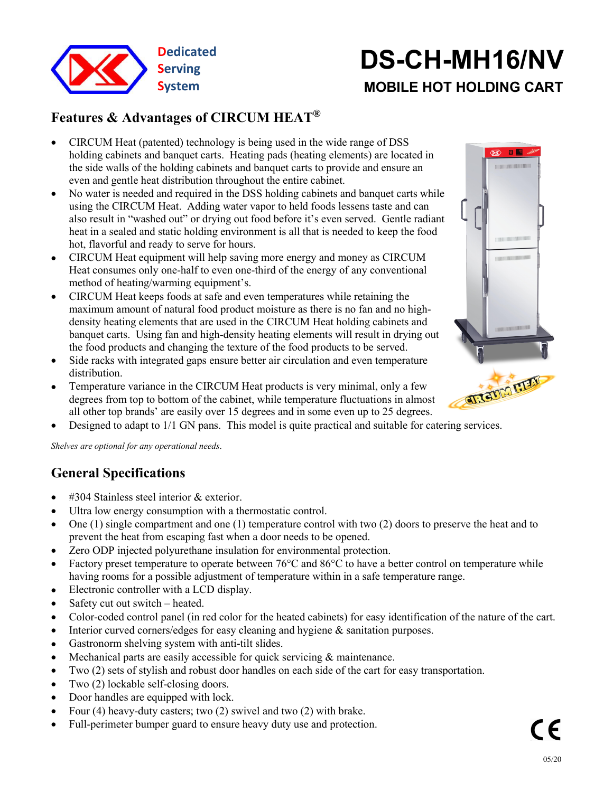

# **System MOBILE HOT HOLDING CART DS-CH-MH16/NV**

#### **Features & Advantages of CIRCUM HEAT<sup>®</sup> ®**

- CIRCUM Heat (patented) technology is being used in the wide range of DSS<br>holding cabinets and banquet carts. Heating nads (beating elements) are located in holding cabinets and banquet carts. Heating pads (heating elements) are located in the side walls of the holding cabinets and banquet carts to provide and ensure an even and gentle heat distribution throughout the entire cabinet.
- No water is needed and required in the DSS holding cabinets and banquet carts while using the CIRCUM Heat. Adding water vapor to held foods lessens taste and can also result in "washed out" or drying out food before it's even served. Gentle radiant heat in a sealed and static holding environment is all that is needed to keep the food hot, flavorful and ready to serve for hours.
- CIRCUM Heat equipment will help saving more energy and money as CIRCUM Heat consumes only one-half to even one-third of the energy of any conventional method of heating/warming equipment's.
- CIRCUM Heat keeps foods at safe and even temperatures while retaining the maximum amount of natural food product moisture as there is no fan and no high density heating elements that are used in the CIRCUM Heat holding cabinets and banquet carts. Using fan and high-density heating elements will result in drying out the food products and changing the texture of the food products to be served.
- Side racks with integrated gaps ensure better air circulation and even temperature distribution.
- Temperature variance in the CIRCUM Heat products is very minimal, only a few degrees from top to bottom of the cabinet while temperature fluids. degrees from top to bottom of the cabinet, while temperature fluctuations in almost all other top brands' are easily over 15 degrees and in some even up to 25 degrees.
- Designed to adapt to 1/1 GN pans. This model is quite practical and suitable for catering services.

*Shelves are optional for any operational needs*.

# **General Specifications**

- #304 Stainless steel interior & exterior.
- Ultra low energy consumption with a thermostatic control.
- $\bullet$  One (1) single compartment and one (1) temperature control with two (2) doors to preserve the heat and to prevent the heat from escaping fast when a door needs to be opened.
- Zero ODP injected polyurethane insulation for environmental protection.
- Factory preset temperature to operate between  $76^{\circ}$ C and  $86^{\circ}$ C to have a better control on temperature while having rooms for a possible adjustment of temperature within in a safe temperature range.
- Electronic controller with a LCD display.
- Safety cut out switch heated.
- Color-coded control panel (in red color for the heated cabinets) for easy identification of the nature of the cart.
- Interior curved corners/edges for easy cleaning and hygiene & sanitation purposes.
- Gastronorm shelving system with anti-tilt slides.
- Mechanical parts are easily accessible for quick servicing & maintenance.
- Two (2) sets of stylish and robust door handles on each side of the cart for easy transportation.
- Two (2) lockable self-closing doors.
- Door handles are equipped with lock.
- Four  $(4)$  heavy-duty casters; two  $(2)$  swivel and two  $(2)$  with brake.
- Full-perimeter bumper guard to ensure heavy duty use and protection.